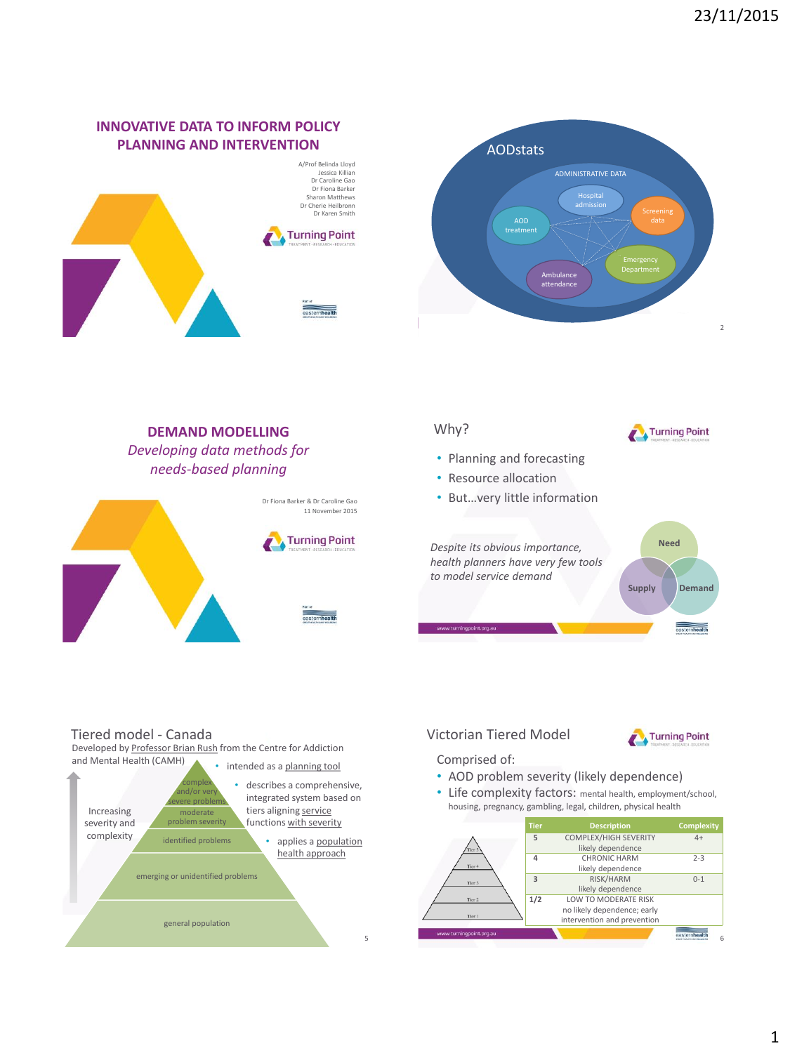## **INNOVATIVE DATA TO INFORM POLICY PLANNING AND INTERVENTION**





#### Why? **DEMAND MODELLING**  Turning Point *Developing data methods for*  • Planning and forecasting *needs-based planning* • Resource allocation • But…very little information Dr Fiona Barker & Dr Caroline Gao 11 November 2015 **Turning Point Need** *Despite its obvious importance, health planners have very few tools to model service demand*  **Supply Demand** .<br>w.turningpoint.org.au easternhealth

#### Tiered model - Canada

Developed by Professor Brian Rush from the Centre for Addiction



### Victorian Tiered Model



Comprised of:

- AOD problem severity (likely dependence)
- Life complexity factors: mental health, employment/school, housing, pregnancy, gambling, legal, children, physical health

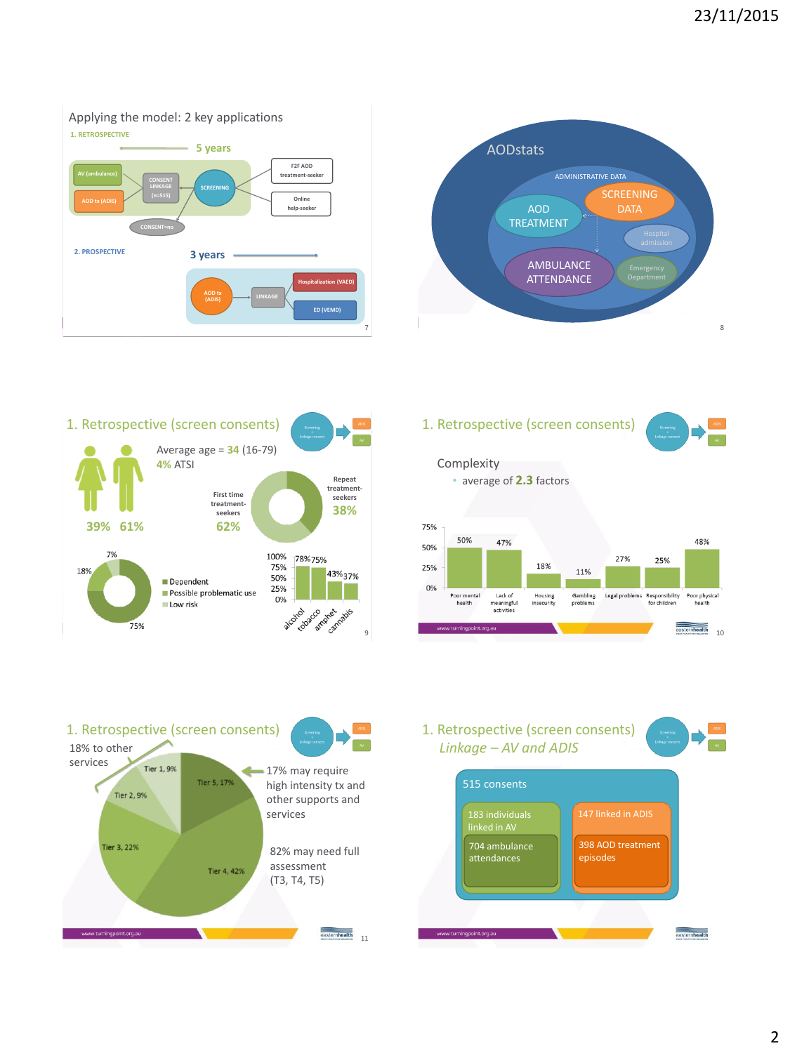#### Applying the model: 2 key applications







# **Complexity** • average of **2.3** factors 1. Retrospective (screen consents)





1. Retrospective (screen consents) *Linkage – AV and ADIS*



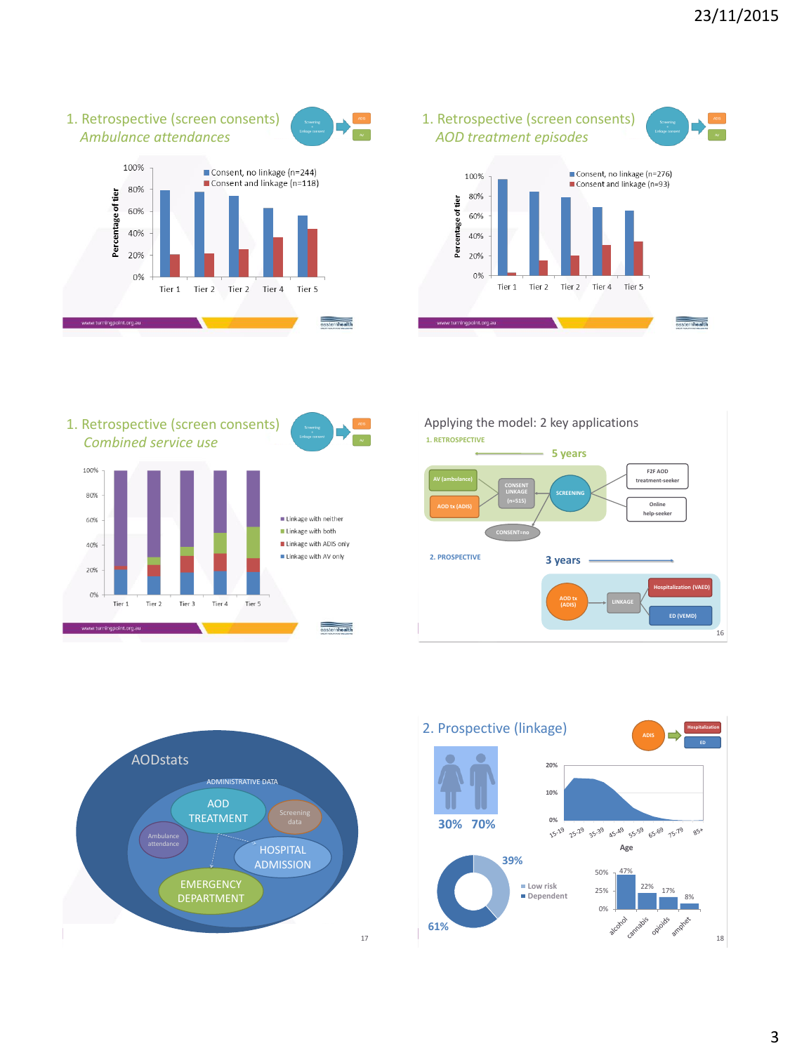





1. Retrospective (screen consents) *Combined service use*















**61%**



18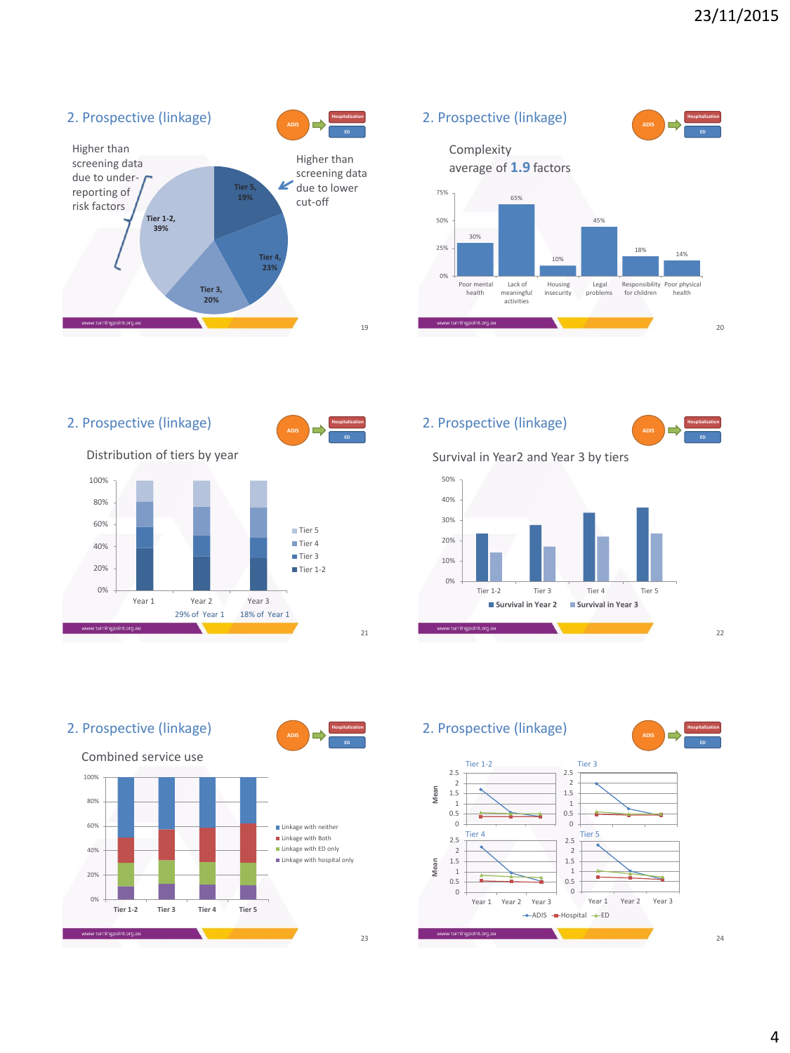



2. Prospective (linkage) **Hospitalization Hospitalization ADIS ADIS ED** Distribution of tiers by year 100% 80% 60% Tier 5 ■Tier 4 40% Tier 3 20% Tier 1-2 0% Year 1 Year 2 Year 3 29% of Year 1 18% of Year 1 w.turningpoint.org.au 21

2. Prospective (linkage)



22







2. Prospective (linkage)